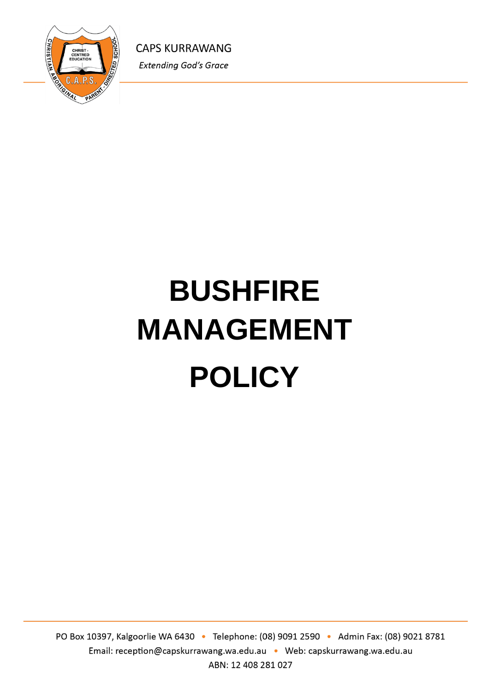

# **BUSHFIRE MANAGEMENT POLICY**

PO Box 10397, Kalgoorlie WA 6430 · Telephone: (08) 9091 2590 · Admin Fax: (08) 9021 8781 Email: reception@capskurrawang.wa.edu.au • Web: capskurrawang.wa.edu.au ABN: 12 408 281 027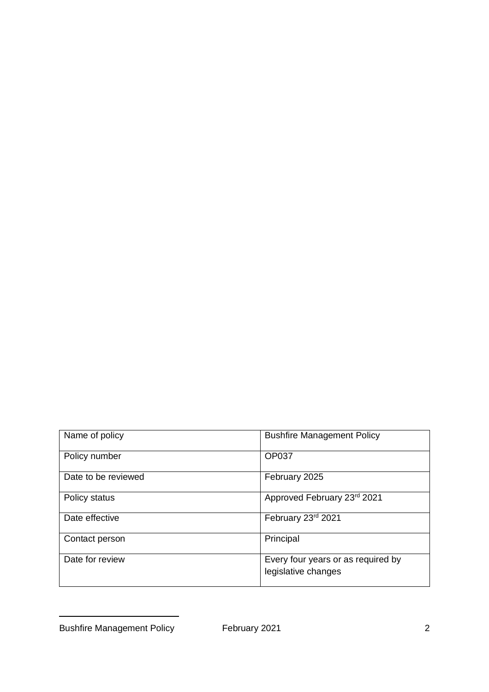| Name of policy      | <b>Bushfire Management Policy</b>                         |
|---------------------|-----------------------------------------------------------|
| Policy number       | <b>OP037</b>                                              |
| Date to be reviewed | February 2025                                             |
| Policy status       | Approved February 23rd 2021                               |
| Date effective      | February 23rd 2021                                        |
| Contact person      | Principal                                                 |
| Date for review     | Every four years or as required by<br>legislative changes |

Bushfire Management Policy February 2021 2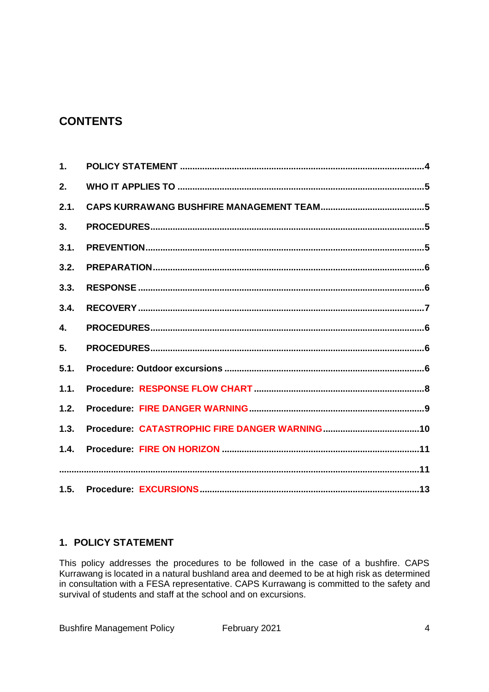# **CONTENTS**

| $\mathbf{1}$ . |  |
|----------------|--|
| 2.             |  |
| 2.1.           |  |
| 3 <sub>1</sub> |  |
| 3.1.           |  |
| 3.2.           |  |
| 3.3.           |  |
| 3.4.           |  |
| 4.             |  |
| 5.             |  |
| 5.1.           |  |
| 1.1.           |  |
| 1.2.           |  |
| 1.3.           |  |
| 1.4.           |  |
|                |  |
|                |  |

#### **1. POLICY STATEMENT**

This policy addresses the procedures to be followed in the case of a bushfire. CAPS Kurrawang is located in a natural bushland area and deemed to be at high risk as determined in consultation with a FESA representative. CAPS Kurrawang is committed to the safety and survival of students and staff at the school and on excursions.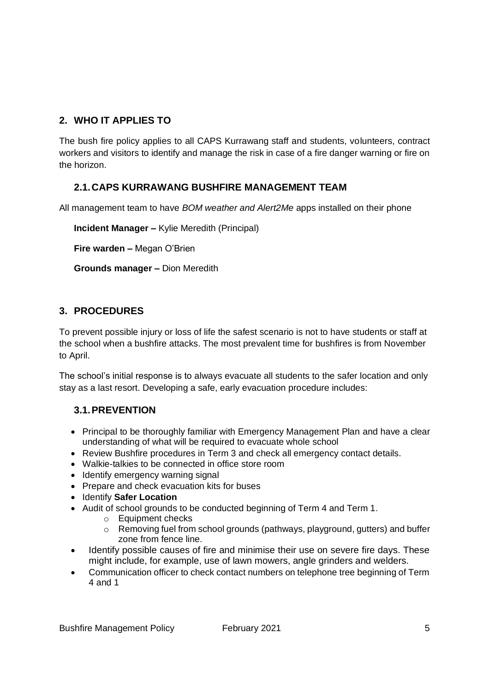### **2. WHO IT APPLIES TO**

The bush fire policy applies to all CAPS Kurrawang staff and students, volunteers, contract workers and visitors to identify and manage the risk in case of a fire danger warning or fire on the horizon.

#### **2.1.CAPS KURRAWANG BUSHFIRE MANAGEMENT TEAM**

All management team to have *BOM weather and Alert2Me* apps installed on their phone

**Incident Manager –** Kylie Meredith (Principal)

**Fire warden –** Megan O'Brien

**Grounds manager –** Dion Meredith

#### **3. PROCEDURES**

To prevent possible injury or loss of life the safest scenario is not to have students or staff at the school when a bushfire attacks. The most prevalent time for bushfires is from November to April.

The school's initial response is to always evacuate all students to the safer location and only stay as a last resort. Developing a safe, early evacuation procedure includes:

#### **3.1.PREVENTION**

- Principal to be thoroughly familiar with Emergency Management Plan and have a clear understanding of what will be required to evacuate whole school
- Review Bushfire procedures in Term 3 and check all emergency contact details.
- Walkie-talkies to be connected in office store room
- Identify emergency warning signal
- Prepare and check evacuation kits for buses
- Identify **Safer Location**
- Audit of school grounds to be conducted beginning of Term 4 and Term 1.
	- o Equipment checks
	- o Removing fuel from school grounds (pathways, playground, gutters) and buffer zone from fence line.
- Identify possible causes of fire and minimise their use on severe fire days. These might include, for example, use of lawn mowers, angle grinders and welders.
- Communication officer to check contact numbers on telephone tree beginning of Term 4 and 1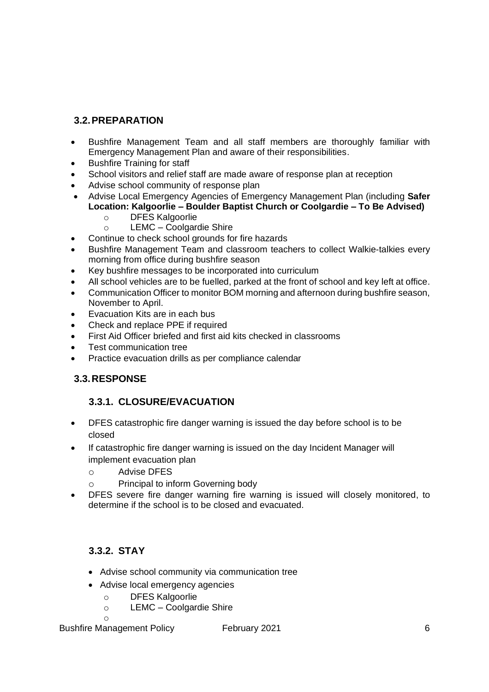### **3.2.PREPARATION**

- Bushfire Management Team and all staff members are thoroughly familiar with Emergency Management Plan and aware of their responsibilities.
- Bushfire Training for staff
- School visitors and relief staff are made aware of response plan at reception
- Advise school community of response plan
- Advise Local Emergency Agencies of Emergency Management Plan (including **Safer Location: Kalgoorlie – Boulder Baptist Church or Coolgardie – To Be Advised)**
	- o DFES Kalgoorlie
	- o LEMC Coolgardie Shire
- Continue to check school grounds for fire hazards
- Bushfire Management Team and classroom teachers to collect Walkie-talkies every morning from office during bushfire season
- Key bushfire messages to be incorporated into curriculum
- All school vehicles are to be fuelled, parked at the front of school and key left at office.
- Communication Officer to monitor BOM morning and afternoon during bushfire season, November to April.
- Evacuation Kits are in each bus
- Check and replace PPE if required
- First Aid Officer briefed and first aid kits checked in classrooms
- Test communication tree
- Practice evacuation drills as per compliance calendar

#### **3.3.RESPONSE**

#### **3.3.1. CLOSURE/EVACUATION**

- DFES catastrophic fire danger warning is issued the day before school is to be closed
- If catastrophic fire danger warning is issued on the day Incident Manager will implement evacuation plan
	- o Advise DFES
	- o Principal to inform Governing body
- DFES severe fire danger warning fire warning is issued will closely monitored, to determine if the school is to be closed and evacuated.

#### **3.3.2. STAY**

- Advise school community via communication tree
- Advise local emergency agencies
	- o DFES Kalgoorlie
	- o LEMC Coolgardie Shire

o

Bushfire Management Policy February 2021 6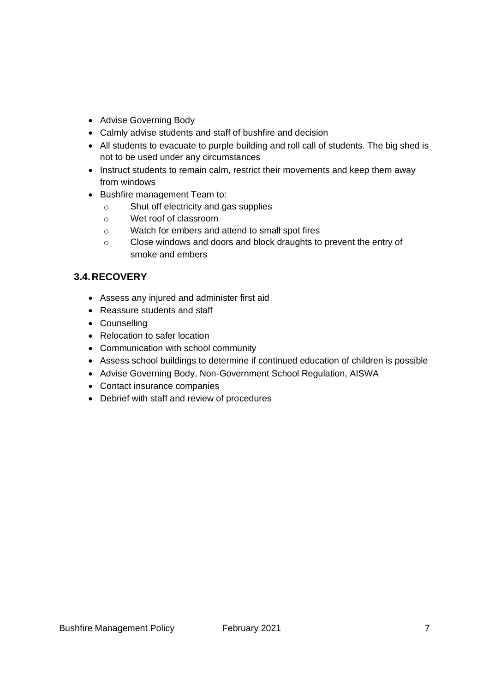- Advise Governing Body
- Calmly advise students and staff of bushfire and decision
- All students to evacuate to purple building and roll call of students. The big shed is not to be used under any circumstances
- Instruct students to remain calm, restrict their movements and keep them away from windows
- Bushfire management Team to:
	- o Shut off electricity and gas supplies
	- o Wet roof of classroom
	- o Watch for embers and attend to small spot fires
	- o Close windows and doors and block draughts to prevent the entry of smoke and embers

#### **3.4.RECOVERY**

- Assess any injured and administer first aid
- Reassure students and staff
- Counselling
- Relocation to safer location
- Communication with school community
- Assess school buildings to determine if continued education of children is possible
- Advise Governing Body, Non-Government School Regulation, AISWA
- Contact insurance companies
- Debrief with staff and review of procedures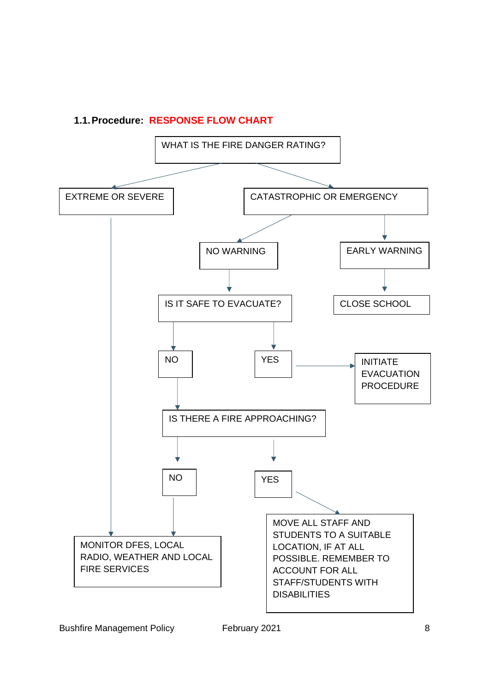#### **1.1.Procedure: RESPONSE FLOW CHART**

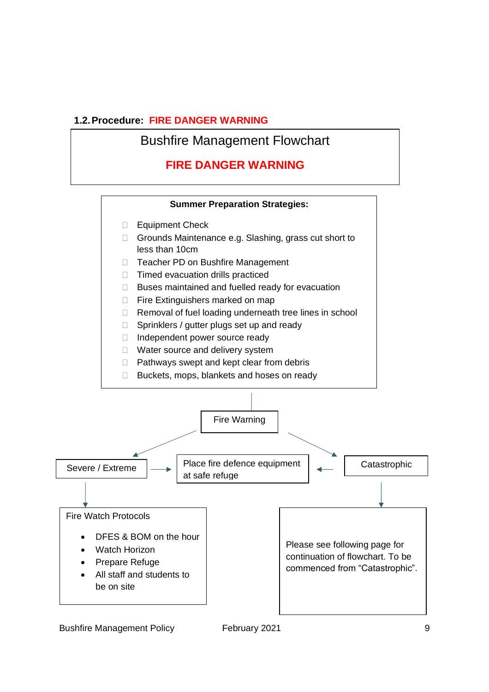#### **1.2.Procedure: FIRE DANGER WARNING**

Bushfire Management Flowchart

# **FIRE DANGER WARNING**

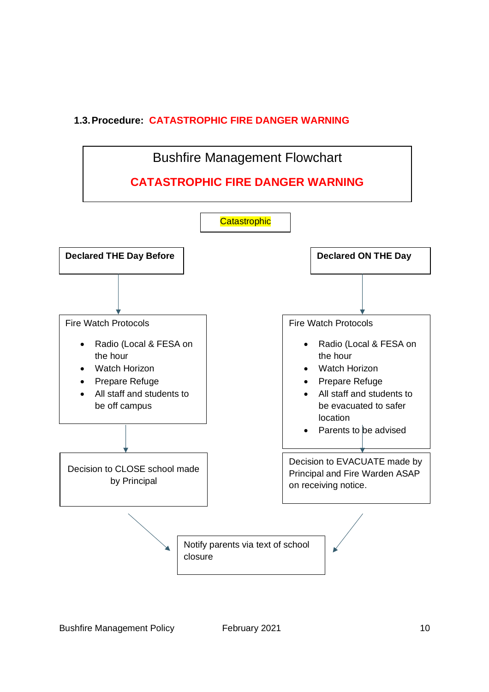## **1.3.Procedure: CATASTROPHIC FIRE DANGER WARNING**

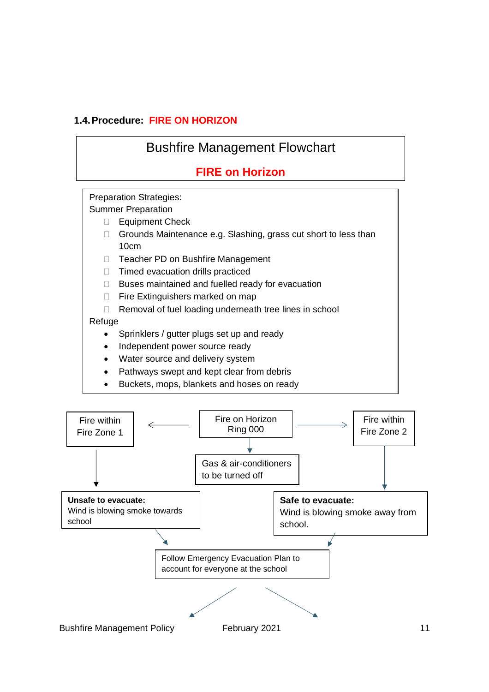#### **1.4.Procedure: FIRE ON HORIZON**

# Bushfire Management Flowchart **FIRE on Horizon** Preparation Strategies: Summer Preparation □ Equipment Check □ Grounds Maintenance e.g. Slashing, grass cut short to less than 10cm □ Teacher PD on Bushfire Management  $\Box$  Timed evacuation drills practiced  $\Box$  Buses maintained and fuelled ready for evacuation □ Fire Extinguishers marked on map □ Removal of fuel loading underneath tree lines in school **Refuge** • Sprinklers / gutter plugs set up and ready • Independent power source ready • Water source and delivery system

- Pathways swept and kept clear from debris
- Buckets, mops, blankets and hoses on ready

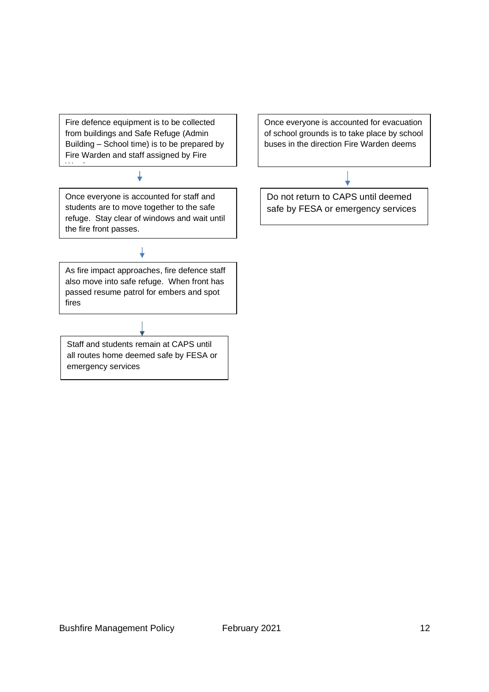Fire defence equipment is to be collected from buildings and Safe Refuge (Admin Building – School time) is to be prepared by Fire Warden and staff assigned by Fire

↓

Wardenburg<br>Wardenburg

Once everyone is accounted for staff and students are to move together to the safe refuge. Stay clear of windows and wait until the fire front passes.

As fire impact approaches, fire defence staff also move into safe refuge. When front has passed resume patrol for embers and spot fires

Staff and students remain at CAPS until all routes home deemed safe by FESA or emergency services

Once everyone is accounted for evacuation of school grounds is to take place by school buses in the direction Fire Warden deems

Do not return to CAPS until deemed safe by FESA or emergency services